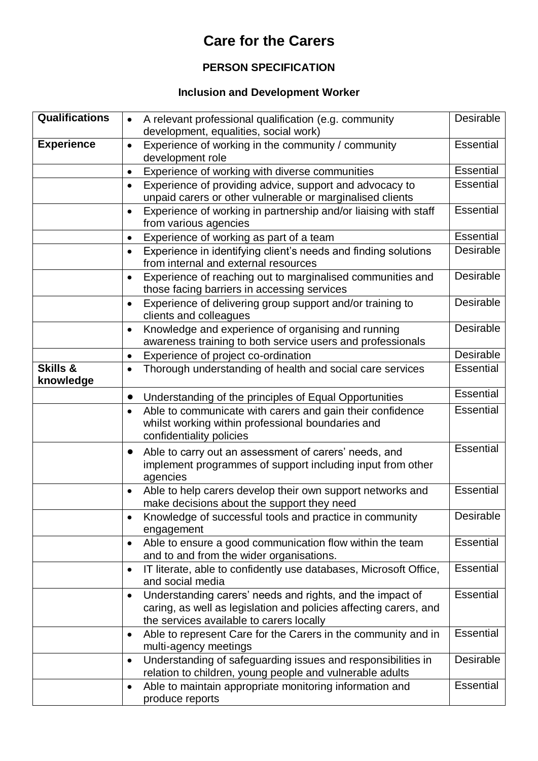## **Care for the Carers**

## **PERSON SPECIFICATION**

## **Inclusion and Development Worker**

| <b>Qualifications</b> | A relevant professional qualification (e.g. community<br>$\bullet$<br>development, equalities, social work)                                                                             | Desirable        |
|-----------------------|-----------------------------------------------------------------------------------------------------------------------------------------------------------------------------------------|------------------|
| <b>Experience</b>     | Experience of working in the community / community<br>$\bullet$<br>development role                                                                                                     | <b>Essential</b> |
|                       | Experience of working with diverse communities<br>$\bullet$                                                                                                                             | <b>Essential</b> |
|                       | Experience of providing advice, support and advocacy to<br>$\bullet$<br>unpaid carers or other vulnerable or marginalised clients                                                       | <b>Essential</b> |
|                       | Experience of working in partnership and/or liaising with staff<br>$\bullet$<br>from various agencies                                                                                   | <b>Essential</b> |
|                       | Experience of working as part of a team<br>$\bullet$                                                                                                                                    | <b>Essential</b> |
|                       | Experience in identifying client's needs and finding solutions<br>$\bullet$<br>from internal and external resources                                                                     | Desirable        |
|                       | Experience of reaching out to marginalised communities and<br>$\bullet$<br>those facing barriers in accessing services                                                                  | Desirable        |
|                       | Experience of delivering group support and/or training to<br>$\bullet$<br>clients and colleagues                                                                                        | Desirable        |
|                       | Knowledge and experience of organising and running<br>$\bullet$<br>awareness training to both service users and professionals                                                           | Desirable        |
|                       | Experience of project co-ordination<br>$\bullet$                                                                                                                                        | Desirable        |
| Skills &<br>knowledge | Thorough understanding of health and social care services<br>$\bullet$                                                                                                                  | <b>Essential</b> |
|                       | Understanding of the principles of Equal Opportunities<br>$\bullet$                                                                                                                     | <b>Essential</b> |
|                       | Able to communicate with carers and gain their confidence<br>$\bullet$<br>whilst working within professional boundaries and<br>confidentiality policies                                 | <b>Essential</b> |
|                       | Able to carry out an assessment of carers' needs, and<br>$\bullet$<br>implement programmes of support including input from other<br>agencies                                            | Essential        |
|                       | Able to help carers develop their own support networks and<br>$\bullet$<br>make decisions about the support they need                                                                   | <b>Essential</b> |
|                       | Knowledge of successful tools and practice in community<br>engagement                                                                                                                   | Desirable        |
|                       | Able to ensure a good communication flow within the team<br>٠<br>and to and from the wider organisations.                                                                               | <b>Essential</b> |
|                       | IT literate, able to confidently use databases, Microsoft Office,<br>$\bullet$<br>and social media                                                                                      | <b>Essential</b> |
|                       | Understanding carers' needs and rights, and the impact of<br>$\bullet$<br>caring, as well as legislation and policies affecting carers, and<br>the services available to carers locally | <b>Essential</b> |
|                       | Able to represent Care for the Carers in the community and in<br>٠<br>multi-agency meetings                                                                                             | <b>Essential</b> |
|                       | Understanding of safeguarding issues and responsibilities in<br>$\bullet$<br>relation to children, young people and vulnerable adults                                                   | Desirable        |
|                       | Able to maintain appropriate monitoring information and<br>٠<br>produce reports                                                                                                         | <b>Essential</b> |